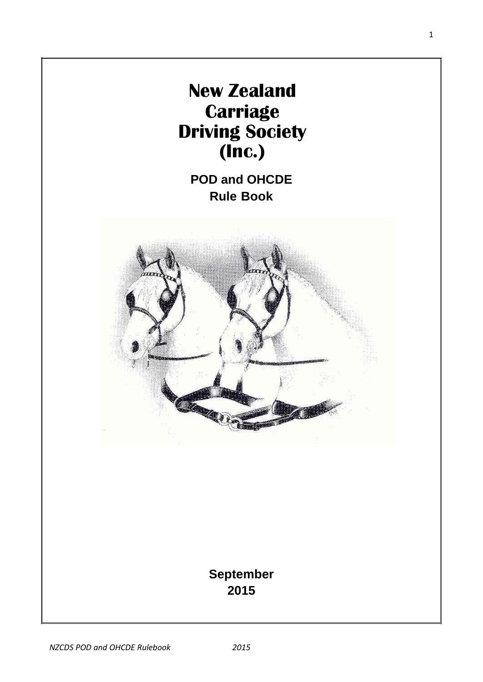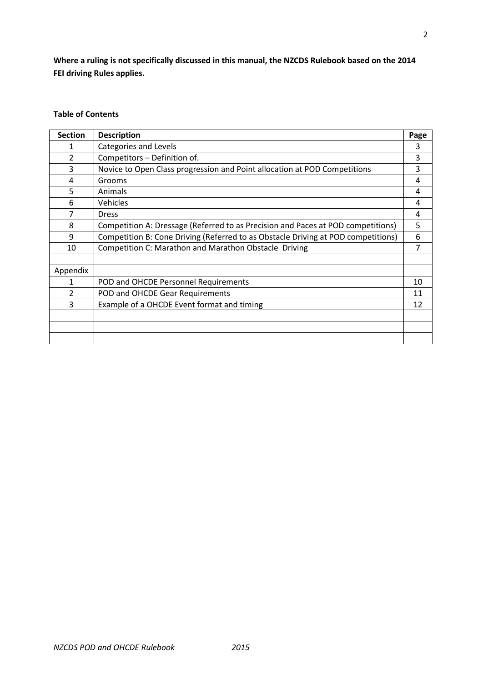**Where a ruling is not specifically discussed in this manual, the NZCDS Rulebook based on the 2014 FEI driving Rules applies.** 

# **Table of Contents**

| <b>Section</b> | <b>Description</b>                                                                | Page |
|----------------|-----------------------------------------------------------------------------------|------|
| 1              | Categories and Levels                                                             | 3    |
| $\overline{2}$ | Competitors - Definition of.                                                      | 3    |
| 3              | Novice to Open Class progression and Point allocation at POD Competitions         | 3    |
| 4              | Grooms                                                                            | 4    |
| 5              | Animals                                                                           | 4    |
| 6              | Vehicles                                                                          | 4    |
| 7              | <b>Dress</b>                                                                      | 4    |
| 8              | Competition A: Dressage (Referred to as Precision and Paces at POD competitions)  | 5    |
| 9              | Competition B: Cone Driving (Referred to as Obstacle Driving at POD competitions) | 6    |
| 10             | Competition C: Marathon and Marathon Obstacle Driving                             | 7    |
|                |                                                                                   |      |
| Appendix       |                                                                                   |      |
| 1              | POD and OHCDE Personnel Requirements                                              | 10   |
| 2              | POD and OHCDE Gear Requirements                                                   | 11   |
| 3              | Example of a OHCDE Event format and timing                                        | 12   |
|                |                                                                                   |      |
|                |                                                                                   |      |
|                |                                                                                   |      |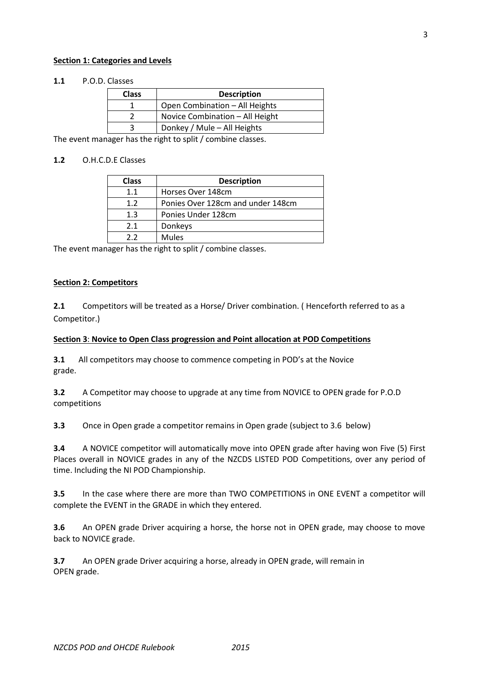#### **Section 1: Categories and Levels**

## **1.1** P.O.D. Classes

| <b>Class</b> | <b>Description</b>              |
|--------------|---------------------------------|
|              | Open Combination - All Heights  |
|              | Novice Combination - All Height |
|              | Donkey / Mule - All Heights     |

The event manager has the right to split / combine classes.

# **1.2** O.H.C.D.E Classes

| <b>Class</b> | <b>Description</b>                |
|--------------|-----------------------------------|
| 1.1          | Horses Over 148cm                 |
| 1.2          | Ponies Over 128cm and under 148cm |
| 1.3          | Ponies Under 128cm                |
| 2.1          | Donkeys                           |
| つつ           | <b>Mules</b>                      |

The event manager has the right to split / combine classes.

#### **Section 2: Competitors**

**2.1** Competitors will be treated as a Horse/ Driver combination. ( Henceforth referred to as a Competitor.)

#### **Section 3**: **Novice to Open Class progression and Point allocation at POD Competitions**

**3.1** All competitors may choose to commence competing in POD's at the Novice grade.

**3.2** A Competitor may choose to upgrade at any time from NOVICE to OPEN grade for P.O.D competitions

**3.3** Once in Open grade a competitor remains in Open grade (subject to 3.6 below)

**3.4** A NOVICE competitor will automatically move into OPEN grade after having won Five (5) First Places overall in NOVICE grades in any of the NZCDS LISTED POD Competitions, over any period of time. Including the NI POD Championship.

**3.5** In the case where there are more than TWO COMPETITIONS in ONE EVENT a competitor will complete the EVENT in the GRADE in which they entered.

**3.6** An OPEN grade Driver acquiring a horse, the horse not in OPEN grade, may choose to move back to NOVICE grade.

**3.7** An OPEN grade Driver acquiring a horse, already in OPEN grade, will remain in OPEN grade.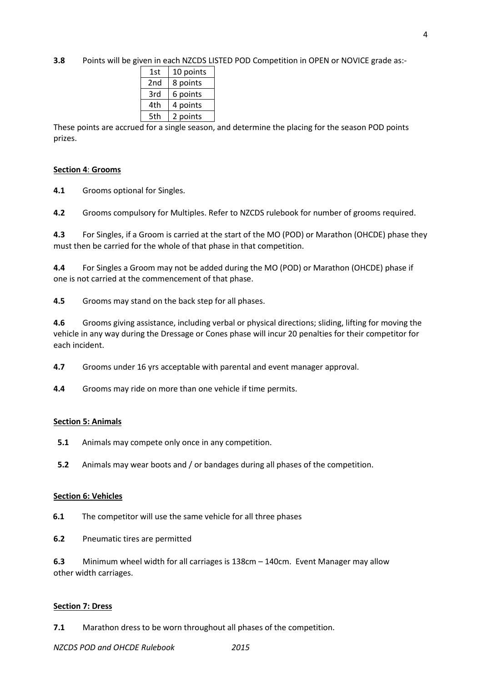**3.8** Points will be given in each NZCDS LISTED POD Competition in OPEN or NOVICE grade as:-

| 1st | 10 points |
|-----|-----------|
| 2nd | 8 points  |
| 3rd | 6 points  |
| 4th | 4 points  |
| 5th | 2 points  |

These points are accrued for a single season, and determine the placing for the season POD points prizes.

## **Section 4**: **Grooms**

**4.1** Grooms optional for Singles.

**4.2** Grooms compulsory for Multiples. Refer to NZCDS rulebook for number of grooms required.

**4.3** For Singles, if a Groom is carried at the start of the MO (POD) or Marathon (OHCDE) phase they must then be carried for the whole of that phase in that competition.

**4.4** For Singles a Groom may not be added during the MO (POD) or Marathon (OHCDE) phase if one is not carried at the commencement of that phase.

**4.5** Grooms may stand on the back step for all phases.

**4.6** Grooms giving assistance, including verbal or physical directions; sliding, lifting for moving the vehicle in any way during the Dressage or Cones phase will incur 20 penalties for their competitor for each incident.

**4.7** Grooms under 16 yrs acceptable with parental and event manager approval.

**4.4** Grooms may ride on more than one vehicle if time permits.

#### **Section 5: Animals**

**5.1** Animals may compete only once in any competition.

**5.2** Animals may wear boots and / or bandages during all phases of the competition.

#### **Section 6: Vehicles**

**6.1** The competitor will use the same vehicle for all three phases

**6.2** Pneumatic tires are permitted

**6.3** Minimum wheel width for all carriages is 138cm – 140cm. Event Manager may allow other width carriages.

#### **Section 7: Dress**

**7.1** Marathon dress to be worn throughout all phases of the competition.

*NZCDS POD and OHCDE Rulebook 2015*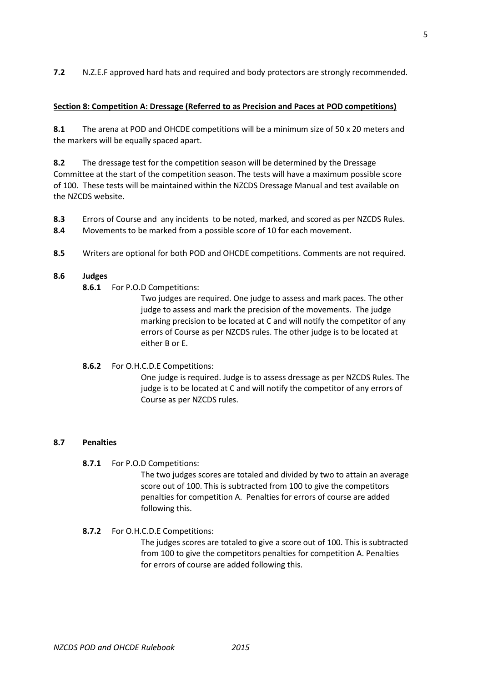# **Section 8: Competition A: Dressage (Referred to as Precision and Paces at POD competitions)**

**8.1** The arena at POD and OHCDE competitions will be a minimum size of 50 x 20 meters and the markers will be equally spaced apart.

**8.2** The dressage test for the competition season will be determined by the Dressage Committee at the start of the competition season. The tests will have a maximum possible score of 100. These tests will be maintained within the NZCDS Dressage Manual and test available on the NZCDS website.

- **8.3** Errors of Course and any incidents to be noted, marked, and scored as per NZCDS Rules.
- **8.4** Movements to be marked from a possible score of 10 for each movement.
- **8.5** Writers are optional for both POD and OHCDE competitions. Comments are not required.

# **8.6 Judges**

**8.6.1** For P.O.D Competitions:

Two judges are required. One judge to assess and mark paces. The other judge to assess and mark the precision of the movements. The judge marking precision to be located at C and will notify the competitor of any errors of Course as per NZCDS rules. The other judge is to be located at either B or E.

**8.6.2** For O.H.C.D.E Competitions:

One judge is required. Judge is to assess dressage as per NZCDS Rules. The judge is to be located at C and will notify the competitor of any errors of Course as per NZCDS rules.

# **8.7 Penalties**

**8.7.1** For P.O.D Competitions:

The two judges scores are totaled and divided by two to attain an average score out of 100. This is subtracted from 100 to give the competitors penalties for competition A. Penalties for errors of course are added following this.

# **8.7.2** For O.H.C.D.E Competitions:

The judges scores are totaled to give a score out of 100. This is subtracted from 100 to give the competitors penalties for competition A. Penalties for errors of course are added following this.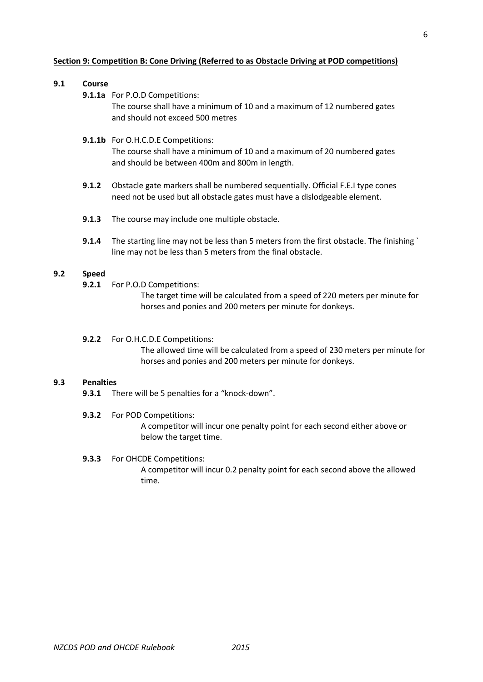#### **Section 9: Competition B: Cone Driving (Referred to as Obstacle Driving at POD competitions)**

# **9.1 Course**

**9.1.1a** For P.O.D Competitions:

The course shall have a minimum of 10 and a maximum of 12 numbered gates and should not exceed 500 metres

#### **9.1.1b** For O.H.C.D.E Competitions:

The course shall have a minimum of 10 and a maximum of 20 numbered gates and should be between 400m and 800m in length.

- **9.1.2** Obstacle gate markers shall be numbered sequentially. Official F.E.I type cones need not be used but all obstacle gates must have a dislodgeable element.
- **9.1.3** The course may include one multiple obstacle.
- **9.1.4** The starting line may not be less than 5 meters from the first obstacle. The finishing ` line may not be less than 5 meters from the final obstacle.

## **9.2 Speed**

**9.2.1** For P.O.D Competitions:

The target time will be calculated from a speed of 220 meters per minute for horses and ponies and 200 meters per minute for donkeys.

**9.2.2** For O.H.C.D.E Competitions:

The allowed time will be calculated from a speed of 230 meters per minute for horses and ponies and 200 meters per minute for donkeys.

#### **9.3 Penalties**

**9.3.1** There will be 5 penalties for a "knock-down".

#### **9.3.2** For POD Competitions:

A competitor will incur one penalty point for each second either above or below the target time.

#### **9.3.3** For OHCDE Competitions:

A competitor will incur 0.2 penalty point for each second above the allowed time.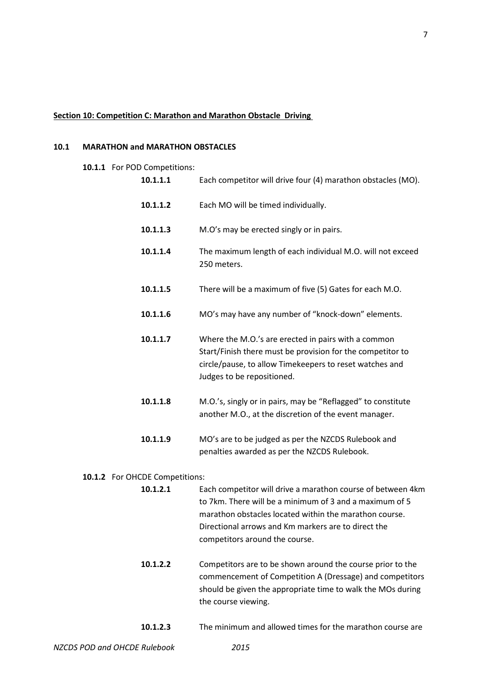#### **Section 10: Competition C: Marathon and Marathon Obstacle Driving**

# **10.1 MARATHON and MARATHON OBSTACLES**

**10.1.1** For POD Competitions:

| 10.1.1.1 | Each competitor will drive four (4) marathon obstacles (MO).                                                                                                                                               |  |
|----------|------------------------------------------------------------------------------------------------------------------------------------------------------------------------------------------------------------|--|
| 10.1.1.2 | Each MO will be timed individually.                                                                                                                                                                        |  |
| 10.1.1.3 | M.O's may be erected singly or in pairs.                                                                                                                                                                   |  |
| 10.1.1.4 | The maximum length of each individual M.O. will not exceed<br>250 meters.                                                                                                                                  |  |
| 10.1.1.5 | There will be a maximum of five (5) Gates for each M.O.                                                                                                                                                    |  |
| 10.1.1.6 | MO's may have any number of "knock-down" elements.                                                                                                                                                         |  |
| 10.1.1.7 | Where the M.O.'s are erected in pairs with a common<br>Start/Finish there must be provision for the competitor to<br>circle/pause, to allow Timekeepers to reset watches and<br>Judges to be repositioned. |  |
| 10.1.1.8 | M.O.'s, singly or in pairs, may be "Reflagged" to constitute<br>another M.O., at the discretion of the event manager.                                                                                      |  |
| 10.1.1.9 | MO's are to be judged as per the NZCDS Rulebook and<br>penalties awarded as per the NZCDS Rulebook.                                                                                                        |  |

#### **10.1.2** For OHCDE Competitions:

- **10.1.2.1** Each competitor will drive a marathon course of between 4km to 7km. There will be a minimum of 3 and a maximum of 5 marathon obstacles located within the marathon course. Directional arrows and Km markers are to direct the competitors around the course.
- **10.1.2.2** Competitors are to be shown around the course prior to the commencement of Competition A (Dressage) and competitors should be given the appropriate time to walk the MOs during the course viewing.
- **10.1.2.3** The minimum and allowed times for the marathon course are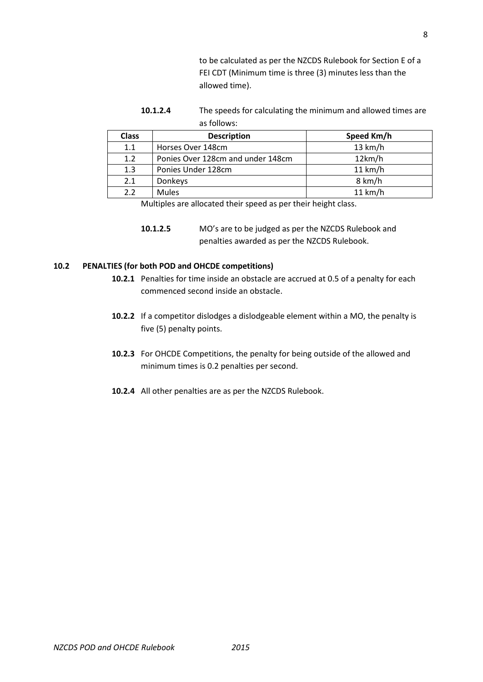to be calculated as per the NZCDS Rulebook for Section E of a FEI CDT (Minimum time is three (3) minutes less than the allowed time).

**10.1.2.4** The speeds for calculating the minimum and allowed times are as follows:

| <b>Class</b> | <b>Description</b>                | Speed Km/h |
|--------------|-----------------------------------|------------|
| 1.1          | Horses Over 148cm                 | 13 km/h    |
| 1.2          | Ponies Over 128cm and under 148cm | 12km/h     |
| 1.3          | Ponies Under 128cm                | 11 km/h    |
| 2.1          | Donkeys                           | 8 km/h     |
| 22           | <b>Mules</b>                      | 11 km/h    |

Multiples are allocated their speed as per their height class.

# **10.2 PENALTIES (for both POD and OHCDE competitions)**

- **10.2.1** Penalties for time inside an obstacle are accrued at 0.5 of a penalty for each commenced second inside an obstacle.
- **10.2.2** If a competitor dislodges a dislodgeable element within a MO, the penalty is five (5) penalty points.
- **10.2.3** For OHCDE Competitions, the penalty for being outside of the allowed and minimum times is 0.2 penalties per second.
- **10.2.4** All other penalties are as per the NZCDS Rulebook.

**<sup>10.1.2.5</sup>** MO's are to be judged as per the NZCDS Rulebook and penalties awarded as per the NZCDS Rulebook.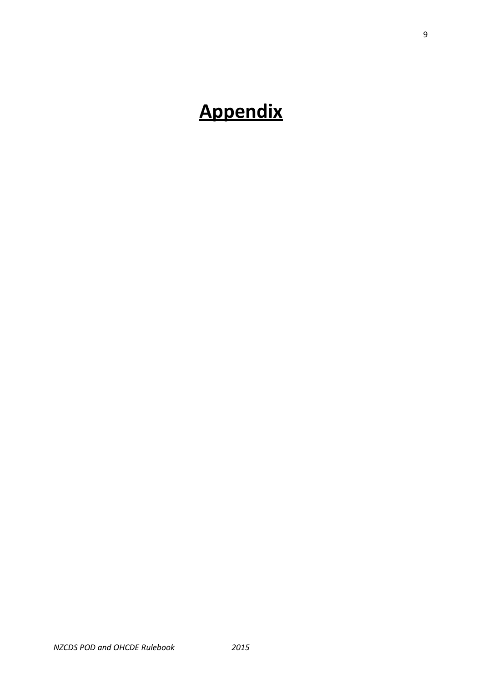# **Appendix**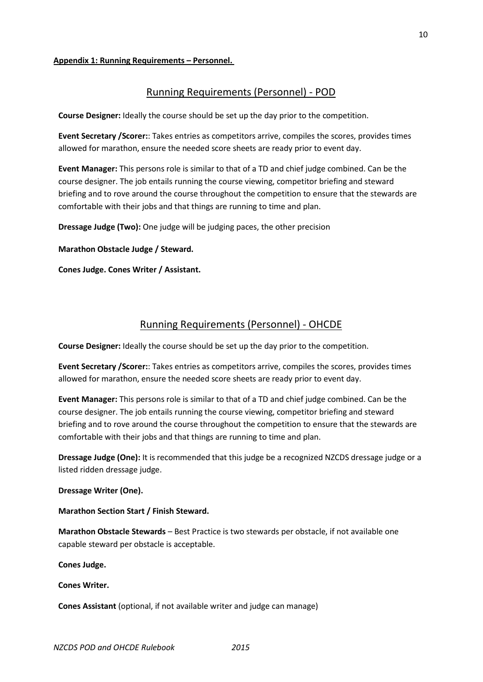# **Appendix 1: Running Requirements – Personnel.**

# Running Requirements (Personnel) - POD

**Course Designer:** Ideally the course should be set up the day prior to the competition.

**Event Secretary /Scorer:**: Takes entries as competitors arrive, compiles the scores, provides times allowed for marathon, ensure the needed score sheets are ready prior to event day.

**Event Manager:** This persons role is similar to that of a TD and chief judge combined. Can be the course designer. The job entails running the course viewing, competitor briefing and steward briefing and to rove around the course throughout the competition to ensure that the stewards are comfortable with their jobs and that things are running to time and plan.

**Dressage Judge (Two):** One judge will be judging paces, the other precision

**Marathon Obstacle Judge / Steward.** 

**Cones Judge. Cones Writer / Assistant.**

# Running Requirements (Personnel) - OHCDE

**Course Designer:** Ideally the course should be set up the day prior to the competition.

**Event Secretary /Scorer:**: Takes entries as competitors arrive, compiles the scores, provides times allowed for marathon, ensure the needed score sheets are ready prior to event day.

**Event Manager:** This persons role is similar to that of a TD and chief judge combined. Can be the course designer. The job entails running the course viewing, competitor briefing and steward briefing and to rove around the course throughout the competition to ensure that the stewards are comfortable with their jobs and that things are running to time and plan.

**Dressage Judge (One):** It is recommended that this judge be a recognized NZCDS dressage judge or a listed ridden dressage judge.

**Dressage Writer (One).**

**Marathon Section Start / Finish Steward.**

**Marathon Obstacle Stewards** – Best Practice is two stewards per obstacle, if not available one capable steward per obstacle is acceptable.

**Cones Judge.** 

**Cones Writer.**

**Cones Assistant** (optional, if not available writer and judge can manage)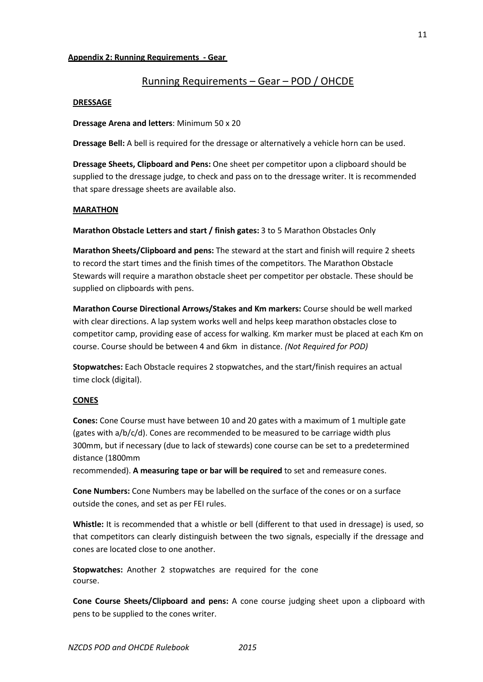# **Appendix 2: Running Requirements - Gear**

# Running Requirements – Gear – POD / OHCDE

## **DRESSAGE**

**Dressage Arena and letters**: Minimum 50 x 20

**Dressage Bell:** A bell is required for the dressage or alternatively a vehicle horn can be used.

**Dressage Sheets, Clipboard and Pens:** One sheet per competitor upon a clipboard should be supplied to the dressage judge, to check and pass on to the dressage writer. It is recommended that spare dressage sheets are available also.

# **MARATHON**

**Marathon Obstacle Letters and start / finish gates:** 3 to 5 Marathon Obstacles Only

**Marathon Sheets/Clipboard and pens:** The steward at the start and finish will require 2 sheets to record the start times and the finish times of the competitors. The Marathon Obstacle Stewards will require a marathon obstacle sheet per competitor per obstacle. These should be supplied on clipboards with pens.

**Marathon Course Directional Arrows/Stakes and Km markers:** Course should be well marked with clear directions. A lap system works well and helps keep marathon obstacles close to competitor camp, providing ease of access for walking. Km marker must be placed at each Km on course. Course should be between 4 and 6km in distance. *(Not Required for POD)*

**Stopwatches:** Each Obstacle requires 2 stopwatches, and the start/finish requires an actual time clock (digital).

# **CONES**

**Cones:** Cone Course must have between 10 and 20 gates with a maximum of 1 multiple gate (gates with  $a/b/c/d$ ). Cones are recommended to be measured to be carriage width plus 300mm, but if necessary (due to lack of stewards) cone course can be set to a predetermined distance (1800mm

recommended). **A measuring tape or bar will be required** to set and remeasure cones.

**Cone Numbers:** Cone Numbers may be labelled on the surface of the cones or on a surface outside the cones, and set as per FEI rules.

**Whistle:** It is recommended that a whistle or bell (different to that used in dressage) is used, so that competitors can clearly distinguish between the two signals, especially if the dressage and cones are located close to one another.

**Stopwatches:** Another 2 stopwatches are required for the cone course.

**Cone Course Sheets/Clipboard and pens:** A cone course judging sheet upon a clipboard with pens to be supplied to the cones writer.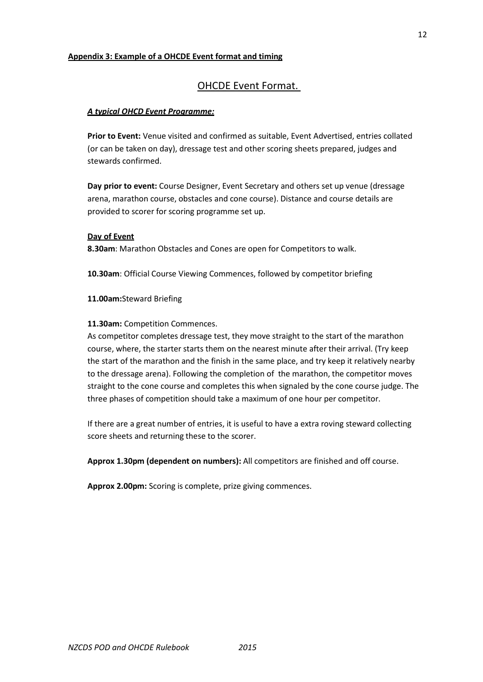# **Appendix 3: Example of a OHCDE Event format and timing**

# OHCDE Event Format.

# *A typical OHCD Event Programme:*

**Prior to Event:** Venue visited and confirmed as suitable, Event Advertised, entries collated (or can be taken on day), dressage test and other scoring sheets prepared, judges and stewards confirmed.

**Day prior to event:** Course Designer, Event Secretary and others set up venue (dressage arena, marathon course, obstacles and cone course). Distance and course details are provided to scorer for scoring programme set up.

# **Day of Event**

**8.30am**: Marathon Obstacles and Cones are open for Competitors to walk.

**10.30am**: Official Course Viewing Commences, followed by competitor briefing

# **11.00am:**Steward Briefing

# **11.30am:** Competition Commences.

As competitor completes dressage test, they move straight to the start of the marathon course, where, the starter starts them on the nearest minute after their arrival. (Try keep the start of the marathon and the finish in the same place, and try keep it relatively nearby to the dressage arena). Following the completion of the marathon, the competitor moves straight to the cone course and completes this when signaled by the cone course judge. The three phases of competition should take a maximum of one hour per competitor.

If there are a great number of entries, it is useful to have a extra roving steward collecting score sheets and returning these to the scorer.

**Approx 1.30pm (dependent on numbers):** All competitors are finished and off course.

**Approx 2.00pm:** Scoring is complete, prize giving commences.